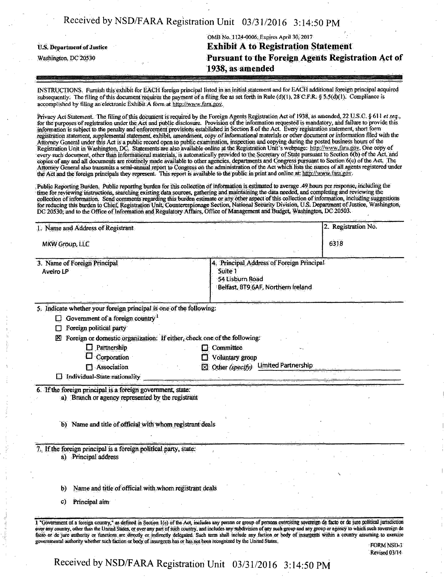| Received by NSD/FARA Registration Unit $\left[0.03/31/2016\right]$ 3:14:50 PM |  |  |
|-------------------------------------------------------------------------------|--|--|
|-------------------------------------------------------------------------------|--|--|

|                                   | OMB No. 1124-0006, Expires April 30, 2017          |
|-----------------------------------|----------------------------------------------------|
| <b>U.S. Department of Justice</b> | <b>Exhibit A to Registration Statement</b>         |
| Washington, DC 20530              | Pursuant to the Foreign Agents Registration Act of |
|                                   | 1938, as amended                                   |
|                                   |                                                    |

INSTRUCTIONS. Furnish this exhibit for EACH foreign principal listed in an initial statement and for EACH additional foreign principal acquired subsequently. The filing of this document requires the payment of a filing fee as set forth in Rule (d)(1), 28 C.F.R. § 5.5(d)(1). Compliance is accomplished by filing an electronic Exhibit A form at  $\frac{M}{B}$  http://www.fara.gov.

Privacy Act Statement. The filing of this document is required by the Foreign Agents Registration Act of 1938, as amended, 22 U.S.C. § 611 et seq., for the purposes of registration under the Act and public disclosure. Provision of the information requested is mandatory, and failure to provide this information is subject to the penalty and enforcement provisions established in Section &of the Act. Every registration statement, short form registration statement, supplemental statement, exhibit, amendment, copy of informational materials or other document or information filed with the Attorney General under this Act is a public record open to public examination, inspection and copying during the posted business hours of the Registration Unit in Washington, DC. Statements are also available online at the Registration Unit's webpage: http://www.fara.gov. One copy of every such document, other than informational materials, is automatically provided to the Secretary of State pursuant to Section 6(b) of the Act, and copies of any and all documents are routinely made available to other agencies, departments and Congress pursuant to Section 6(c) of the Act. The Attorney General also transmits a semi-annual report to Congress on the administration of the Act which lists the names of all agents registered under the Act and the foreign principals they represent. This report is available to the public in print and online at: http://vvww.fara.gov.

, Public Reporting Burden. Public reporting burden for this collection of information is estimated to average .49 hours per response, including the time for reviewing instructions, searching existing data sources, gathering and maintaining the data needed, and completing and revicwing the collection of information. Send comments regarding this burden estimate or any other aspect of this collection of information, including suggestions for reducing this burden to Chief, Registration Unit, Counterespionage Section, National Security Division, U.S. Department of Justice, Washington; DC 20530; and to the Office of Information and Regulatory Affairs, Office of Management and Budget, Washington, DC 20503.

|                       | 1. Name and Address of Registrant                                                                             |                                                                                                            | 2. Registration No. |
|-----------------------|---------------------------------------------------------------------------------------------------------------|------------------------------------------------------------------------------------------------------------|---------------------|
| <b>MKW Group, LLC</b> |                                                                                                               |                                                                                                            | 6318                |
| Aveiro LP             | 3. Name of Foreign Principal                                                                                  | Principal Address of Foreign Principal<br>Suite 1<br>54 Lisburn Road<br>Belfast, BT9 6AF, Northern Ireland |                     |
|                       |                                                                                                               |                                                                                                            |                     |
|                       | 5. Indicate whether your foreign principal is one of the following:                                           |                                                                                                            |                     |
| Ш                     | Government of a foreign country <sup>1</sup>                                                                  |                                                                                                            |                     |
|                       | Foreign political party                                                                                       |                                                                                                            |                     |
| M                     | Foreign or domestic organization: If either, check one of the following:                                      |                                                                                                            |                     |
|                       | Partnership<br>! !                                                                                            | <b>Committee</b>                                                                                           |                     |
|                       | Corporation                                                                                                   |                                                                                                            |                     |
|                       |                                                                                                               | Voluntary group                                                                                            |                     |
|                       | Association<br>П                                                                                              | <b>Limited Partnership</b><br>Other (specify)<br>M                                                         |                     |
|                       | $\Box$ Individual-State nationality<br>6. If the foreign principal is a foreign government, state:            |                                                                                                            |                     |
|                       | a) Branch or agency represented by the registrant<br>b) Name and title of official with whom registrant deals |                                                                                                            |                     |
|                       |                                                                                                               |                                                                                                            |                     |
|                       | 7. If the foreign principal is a foreign political party, state:<br>a) Principal address                      |                                                                                                            |                     |
| b)                    | Name and title of official with whom registrant deals                                                         |                                                                                                            |                     |

Received by NSD/FARA Registration Unit 03/31/2016 3:14:50 PM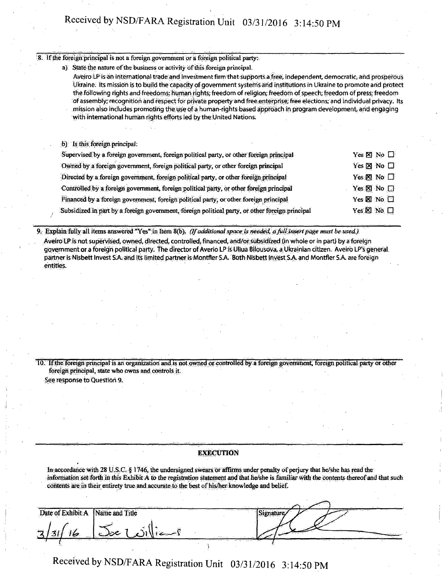## Received by NSD/FARA Registration Unit 03/31/2016 3:14:50 PM

#### 8. If the foreign principal is not a foreign government or a foreign political party:

a) State the nature of the business or activity of this foreign principal.

Aveiro LP is an international trade and investment firm that supports a free, independent, democratic, and prosperous Ukraine. Its mission is to build the capacity of government systems arid institutions in Ukraine to promote and protect the following rights and freedoms: human rights; freedom of religion; freedom of speech; freedom of press; freedom of assembly; recognition and respect for private property and free enterprise; free elections; and individual privacy. Its mission also includes promoting the use of a human-rights based approach in program development arid engaging with international hurnan rights efforts led by the United Nations:

b) Is this foreign principal:

| Supervised by a foreign government, foreign political party, or other foreign principal         | Yes $\boxtimes$ No $\square$ |
|-------------------------------------------------------------------------------------------------|------------------------------|
| Owned by a foreign government, foreign political party, or other foreign principal              | Yes ⊠ No □                   |
| Directed by a foreign government, foreign political party, or other foreign principal           | Yes $\times$ No $\Box$       |
| Controlled by a foreign government, foreign political party, or other foreign principal         | Yes <b>SI</b> No $\Box$      |
| Financed by a foreign government, foreign political party, or other foreign principal           | Yes Z No O                   |
| Subsidized in part by a foreign government, foreign political party, or other foreign principal | Yes ⊠ No □                   |

9. Explain fully all items answered "Yes" in Item 8(b). (If additional space is needed, a full insert page must be used)

Aveiro LP is not supervised, owned, directed, controlled, financed, and/or subsidized (in whole or in part) by a foreign government or a foreign political party. The director of Averio LP is Uliua Bilousova, a Ukrainian citizen. Aveiro LP's general partner is Nisbett Invest S.A. and its limited partner is Montfler S.A. Both Nisbett Invest SA and Montfler S A. are foreign entities.

10. If the foreign principal is an organization and is not owned or controlled by a foreign government, foreign political party or other foreign principal, state who owns and controls it. See response to Question 9.

#### **EXECUTION**

In accordance with  $28 \text{ U.S.C.}$  § 1746, the undersigned swears or affirms under penalty of perjury that he/she has read the information set forth in this Exhibit A to the registration statement and that he/she is familiar with the contents thereof and that such contents are in their entirety true and accurate to the best of his/her knowledge and belief.

|                                 | The end of the excessive process of the special | affairs.<br>the Notice Associates in                                                                                                                                                                 |                                              |                |
|---------------------------------|-------------------------------------------------|------------------------------------------------------------------------------------------------------------------------------------------------------------------------------------------------------|----------------------------------------------|----------------|
| a of Evhihit<br>Dat'            | Name and Title                                  | <b>CONTRACTOR STATES AND</b>                                                                                                                                                                         |                                              | <b>AMERICA</b> |
|                                 |                                                 |                                                                                                                                                                                                      |                                              |                |
| وستقل                           |                                                 |                                                                                                                                                                                                      |                                              |                |
| $1 - 11$ and 11<br><b>COLLE</b> | the property of the property of<br>terman di    | Madrid San<br><u>The Community Community Community Community Community</u><br>the seat of the seat of the seat of<br>the contract of the contract of the contract of the contract of the contract of | <del></del><br>and the second control of the |                |

Received by NSD/FARA Registration Unit 03/31/2016 3:14:50 PM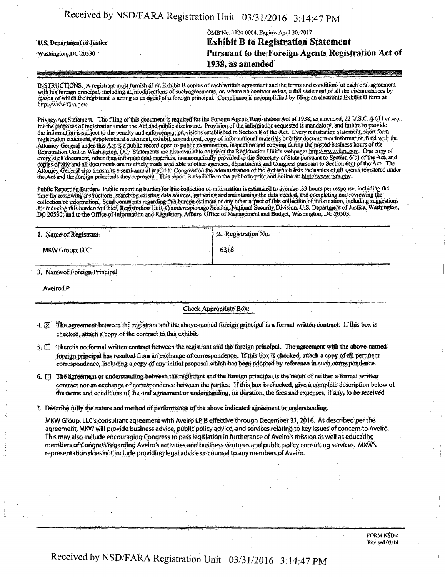|  |  | Received by NSD/FARA Registration Unit 03/31/2016 3:14:47 PM |  |  |
|--|--|--------------------------------------------------------------|--|--|
|--|--|--------------------------------------------------------------|--|--|

## OMB No: 1124-0004; Expires April 30,2017 **U.S. Department of Justice Contract Contract Contract B to Registration Statement Washington, DC 20530 Case 20530 Case 20530 Pursuant to the Foreign Agents Registration Act of 1938, as amended**

INSTRUCTIONS. A registrant must furnish as an Exhibit B copies of each written agreement and the terms and conditions of each oral agreement with his foreign principal, including all modifications of such agreements, or, where no contract exists, a full statement of all the circumstances by reason of which the registrant is acting as an agent of a foreign principal. Compliance is accomplished by filing an electronic Exhibit B form at http://www.fara.gov.

Privacy Act Statement The filing of this document is required for the Foreign Agents Registration Act of 1938, as amended, 22 U.S.C. § 611 et seq., for the purposes of registration under the Act and public disclosure. Provision of the information requested is mandatory, and failure to provide the information is subject to the penalty and enforcement provisions established in Section 8 of the Act; Every registration statement, short form registration statement, supplemental statement, exhibit, amendment, copy of informational materials or other document or information filed with the Attorney General under this Act is a public record open to public examination, inspection and copying during the posted business hours ol the Registration Unit in Washington, DC. Statements are also available online at the Registration Unit's webpage: http://www.fara.gov. One copy of every such document, other than informational materials, is automatically provided to the Secretary of State pursuant to Section 6(b) of the Act, and copies of any and all documents are routinely.made available to other agencies, departments and Congress pursuant to Section 6(c) of the Act. The Attorney General also transmits a semi-annual report to Congress on the administration of the Act which lists the names of all agents registered under the Act and the foreign principals they represent. This report is available to the public in print and online at: http://www.fara.gov.

Public Reporting Burden. Public reporting burden for this collection of information is estimated to average .33 hours per response, including the time for reviewing instructions, searching existing data sources, gathering and maintaining the data needed, and completing and reviewing the collection of information. Send comments regarding this burden estimate or any other aspect of this collection of information, including suggestions for reducing this burden to Chief, Registration Unit, Counterespionage Section, National Security Division, U.S. Department of Justice, Washington, DC 20530; and to the Office of Information and Regulatory Affairs, Office of Management and Budget, Washington, DC 20503.

| the thing and the contract of the contract of the contract of the contract of the contract of the contract of<br>1. Name of Registrant             | <b>CONTRACTOR</b><br><b>The Secretary State County of Secretary Advisors</b>          | the set of the state of the set of the state of the state of the state of the state of the state of the state of the state of the state of the state of the state of the state of the state of the state of the state of the s<br>1.2. Registration No. |                                            |
|----------------------------------------------------------------------------------------------------------------------------------------------------|---------------------------------------------------------------------------------------|---------------------------------------------------------------------------------------------------------------------------------------------------------------------------------------------------------------------------------------------------------|--------------------------------------------|
| MKW Group, LLC                                                                                                                                     |                                                                                       | 6318                                                                                                                                                                                                                                                    |                                            |
| the first companies and the<br>type of the company of the basic<br><b><i><u><u><u></u></u></u> x x x x x x</i></b><br>3. Name of Foreign Principal | Where may have a state<br>the theory of the second company of the party of the second | The St. Declared the Contractor<br>the contract of the contract of the second and the contract of the contract of the contract of the contract of                                                                                                       | <b>Controllering</b><br>a character with a |

Aveiro LP

Check Appropriate Box;

- 4. (3 The agreement between the registrant and the above-named foreign principal is a formal written contract. If this box is checked, attach a copy of the contract to this exhibit.
- $5. \Box$  There is no formal written contract between the registrant and the foreign principal. The agreement with the above-named foreign principal has resulted from an exchange of correspondence. If this box is checked, attach a copy of all pertinent correspondence, including a copy of any initial proposal which has been adopted by reference in such correspondence.

 $6.$   $\Box$  The agreement or understanding between the registrant and the foreign principal is the result of neither a formal written contract nor an exchange of correspondence between the parties. If this box is checked, give a complete description below of the terms and conditions of the oral agreement or understanding, its duration, the fees and expenses, if any, to be received.

7. Describe folly the nature and method of performance of the above indicated agreement or understanding.

MKW Group; LLC's consultant agreement with Aveiro LP is effective through December 31, 2016. As described per the agreement, MKW will provide business advice, public policy advice, and services relating to key issues of concern to Aveiro. This may also include encouraging Congress to pass legislation in furtherance of Aveiro's mission as well as educating members of Congress regarding Aveiro's activities and business ventures and public policy consulting services. MKW's representation does not include providing legal advice or counsel to any members of Aveiro.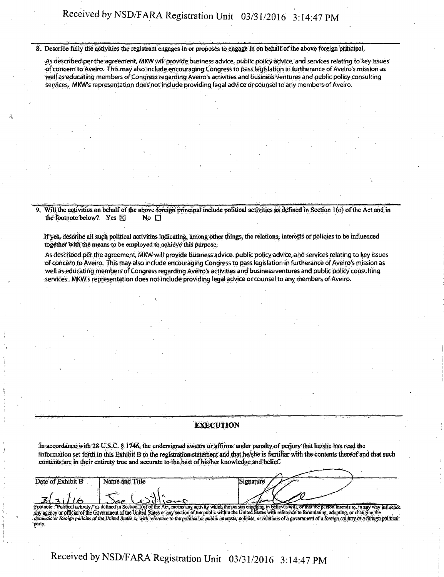8. Describe fully the activities the registrant engages in or proposes to engage in on behalf of the above foreign principal.

As described per the agreement MKW will provide business advice, public policy advice, and services relating to key issues of concern to Aveiro. this may also include encouraging Congress to pass legislation in furtherance of Aveiro's mission as well as educating members of Congress regarding Aveiro's activities and business ventures and public policy consulting services. MKW's representation does not include providing legafadviee or counsel to any members of Aveiro.

Will the activities on behalf of the above foreign principal include political activities as defined in Section 1(o) of the Act and in the footnote below? Yes  $\boxtimes$  No  $\Box$ the footnote below? Yes  $\boxtimes$ 

If yes, describe all such political activities indicating, among other things, the relations, interests or policies to be influenced together with the means to be employed to achieve this purpose.

As described per the agreement, MKW will provide business advice, public policy advice, and services relating to key issues of concern to Aveiro. This may also include encouraging Congress to pass legislation in furtherance of Aveiro's mission as well as educating members of Congress regarding Aveiro's activities and business ventures and public policy consulting services. MKW's representation does not include providing legal advice or counsel to any members of Aveiro.

#### **EXECUTION**

In accordance with  $28$  U.S.C.  $\S$  1746, the undersigned swears or affirms under penalty of perjury that he/she has read the information set forth in this Exhibit B to the registration statement and that he/she is familiar with the contents thereof and that such contents are in their entirety true and accurate to the best of his/her knowledge and belief.

| Date of Exhibit B | Name and Title                                                                                                                                                                               |  |  |
|-------------------|----------------------------------------------------------------------------------------------------------------------------------------------------------------------------------------------|--|--|
|                   |                                                                                                                                                                                              |  |  |
|                   |                                                                                                                                                                                              |  |  |
| وتنسنا            |                                                                                                                                                                                              |  |  |
|                   |                                                                                                                                                                                              |  |  |
|                   | Footnote: "Political activity," as defined in Section 1(o) of the Act, means any activity which the person engaging in believes will, or that the person intends to, in any way influence    |  |  |
|                   | any agency or official of the Government of the United States or any section of the public within the United States with reference to formulating, adopting, or changing the                 |  |  |
|                   | domestic or foreign policies of the United States or with reference to the political or public interests, policies, or relations of a government of a foreign country or a foreign political |  |  |
|                   |                                                                                                                                                                                              |  |  |
| party.            |                                                                                                                                                                                              |  |  |

# Received by NSD/FARA Registration Unit 03/31/2016 3:14:47 PM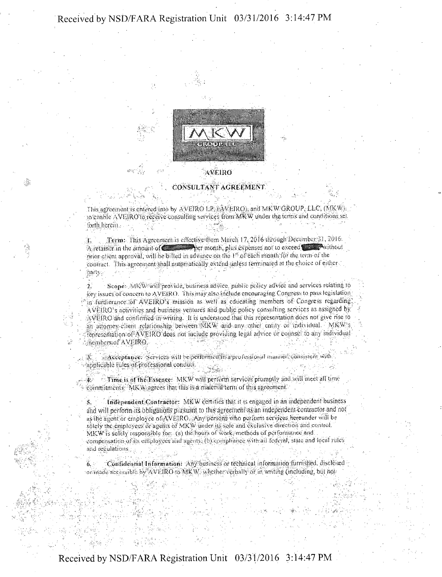Received by NSD/FARA Registration Unit 03/31/2016 3:14:47 PM



#### CONSULTANT AGREEMENT

:Ä

This agreement is entered into by AVEIRO LE AVEIRO), and MKW GROUP, LLC, (MKW) to gnable AVEIRO to receive consulting services from MKW under the terms and conditions set. torth.hcrem...

t. Term: This Agreement is effective from March 17, 2016 through December 31, 2016.  $\mu$ . legmor This agreement is effective from March 17, 2016 through December 31, 2016.<br>A retainer in the amount of  $\epsilon$  is a solution of the expenses not to exceed  $\epsilon$  . A without prior client approval, will be billed in advance on the 1st of cach month for the term of the contract. This agreement shall automatically extend unless terminated at the choice of either nanv: • • - • ..... .

Scope . MKW will provide, business advice, public policy advice and services relating to Key issues of concern to AVEIRO. This may also include encouraging Congress to pass legislation  $f$  in furtherance of AVEIRO's mission as well as educating members of Congress regarding.  $\Delta VERO$  s activities and business ventures and public policy consulting services as assigned by  $\Delta$ VEIRO and confirmed in writing. It is understood that this representation does not give rise to an altomey client relationship between MKW and any other entity of individual. MKW's tenreschiation of AVEIRO does not include providing tegal advice or counsel to any individual •members.of AVEIRO.

 $3$  Acceptance: Nervices will be performed in a professional manner. consistent with applicable tules of professional conduct.

Time is of the Essence: MKW will perturn services promptly and will meet all time tommitments. MKW agrees that this is a material term of this agreement.

Independent Contractor: MKW certifies that it is engaged in an independent business and will perform its obligations pursuant to this agreement as an independent contractor and not  $_{4}\pm$  ihe agent or employee of  $\rm XFEIRO$  . Any persons who puttorm scrvices hereunder will be  $\operatorname{sbd}$  the employees or agents of MKW under  $\operatorname{us}$  sole and exclusive direction and control. MK.W is solely responsible for (a) the hours of work, methods of performance and compensation of its employees and agents. (b) compliance with all federal, state and local rules and-reuulations.

 $6.$  Cunfidential Information:  $\Delta$ ny business or technical information furnished, disclosed or made scees ible by AVEIRO to MKW, whether verbally or in writing (including, but not

### Received by NSD/FARA Registration Unit 03/31/2016 3:14:47 PM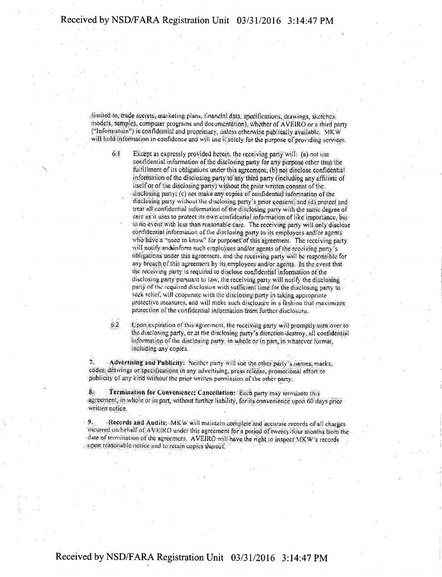limited to, trade scerets, marketing plans, financial data, specifications, drawings, sketches, models, samples, computer programs and documentation), whether of AVEIRO or n third part) ("Information") is confidemial and proprietary, unless- otherwise publically available. MKW will hold information in confidence and will use it solely for the purpose of providing services.

 $61$  Except as expressly provided herein, the receiving party will: (a) not use confidential information of the disclosing party for any purpose other than the fulfillment of its obligations under this agreement; (b) not disclose confidential information of the disclosing party to any third party (including any affiliate of itself or of the disclosing party) without the prior written consent of the; disclosing party; (c) not make any copies nf confidential information of the disclosing party without the disclosing party's prior consent; and id) protect and treat all confidential information of the disclosing party with the same degree of care as it uses to protect its own confidential information of like importance. but iu no e\eut with less than reasonable care. The receiving pans will only disclose confidential-information of the disclosing party to its employees and/or agents: who have a "need to know" for purposes of this agreement. The receiving party will notify and inform such employees and/or agents of the receiving purty's obligations under this agreement, and the receiving party will be responsible for any breach of this agreement by its employees and/or agents. In the event that the receiving party is required to disclose confidential information of the disclosing party pursuant to law. tiie receiving part) will notify the disclosing party of the required disclosure with sufficient time for the disclosing party to seek relief, will cooperate with the disclosing party in taking appropriate protective measures, and will make such disclosure in a fashion that maximizes protection of the confidential information-from further disclosure.

 $6.2$  to pontexpiration of this agreement, the receiving party will promptly turn over to the disclosing party, or at the disclosing pany-s direction: destroy; all confidentialinformation of the disclosing party, in whole or in parr, in whatever format, including any copies.

7. Advertising and Publicity: Neither party wiI! use the other party'> names, marks, codes, drawings or specifications in any advertising, press release, promotional effort or publicity of any kind without the prior written permission of the other party.

8. Termination for Convenience; Cancellation: bach parry may terminate this agreement, in whole or in part, without timber liability, for its convenience upon 60 days prior -written not ice.

9. Records and Audits: MKW will maintain vomptoe and accurate records of all charges incurred cm behalf of AVEIRO under this agreement for a period of twenty-four months from the date of termination of the agreement. AVEIRO will have the right to inspect MKW's records upon reasonable notice and to retain copies thereof.